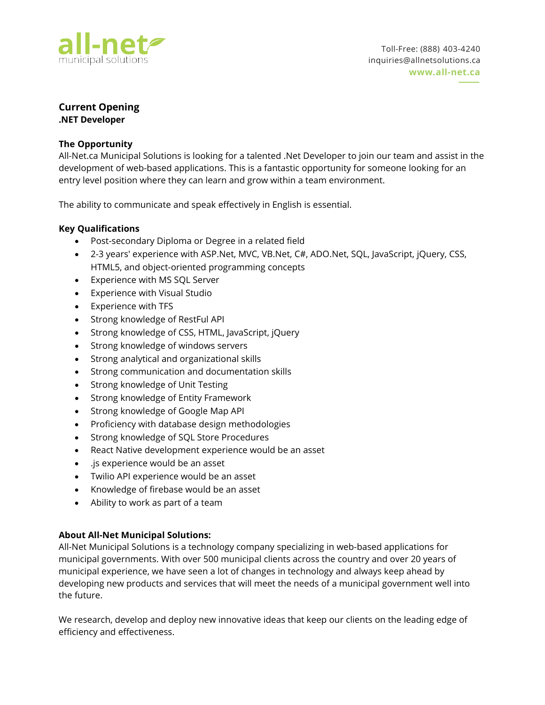

# **Current Opening**

**.NET Developer**

## **The Opportunity**

All-Net.ca Municipal Solutions is looking for a talented .Net Developer to join our team and assist in the development of web-based applications. This is a fantastic opportunity for someone looking for an entry level position where they can learn and grow within a team environment.

The ability to communicate and speak effectively in English is essential.

## **Key Qualifications**

- Post-secondary Diploma or Degree in a related field
- 2-3 years' experience with ASP.Net, MVC, VB.Net, C#, ADO.Net, SQL, JavaScript, jQuery, CSS, HTML5, and object-oriented programming concepts
- Experience with MS SQL Server
- Experience with Visual Studio
- Experience with TFS
- Strong knowledge of RestFul API
- Strong knowledge of CSS, HTML, JavaScript, jQuery
- Strong knowledge of windows servers
- Strong analytical and organizational skills
- Strong communication and documentation skills
- Strong knowledge of Unit Testing
- Strong knowledge of Entity Framework
- Strong knowledge of Google Map API
- Proficiency with database design methodologies
- Strong knowledge of SQL Store Procedures
- React Native development experience would be an asset
- .js experience would be an asset
- Twilio API experience would be an asset
- Knowledge of firebase would be an asset
- Ability to work as part of a team

# **About All-Net Municipal Solutions:**

All-Net Municipal Solutions is a technology company specializing in web-based applications for municipal governments. With over 500 municipal clients across the country and over 20 years of municipal experience, we have seen a lot of changes in technology and always keep ahead by developing new products and services that will meet the needs of a municipal government well into the future.

We research, develop and deploy new innovative ideas that keep our clients on the leading edge of efficiency and effectiveness.